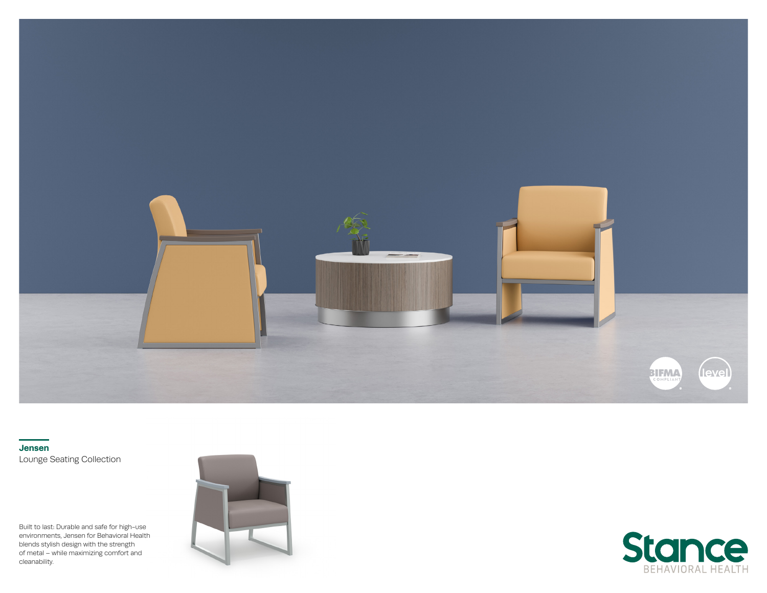

**Jensen** Lounge Seating Collection

Built to last: Durable and safe for high-use environments, Jensen for Behavioral Health blends stylish design with the strength of metal – while maximizing comfort and cleanability.



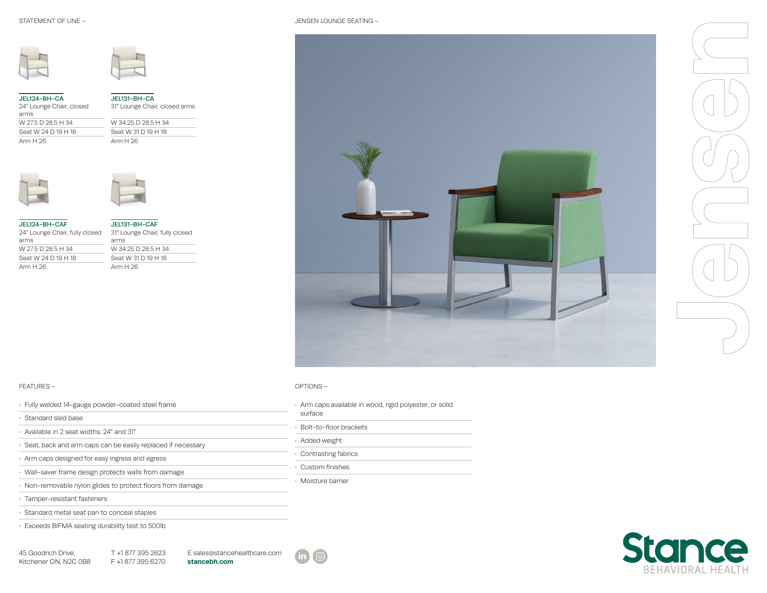JENSEN LOUNGE SEATING –





| JEL124-BH-CA<br>24" Lounge Chair, closed<br>arms | JEL131-BH-CA<br>31" Lounge Chair, clo |
|--------------------------------------------------|---------------------------------------|
| W 27.5 D 28.5 H 34                               | W 34.25 D 28.5 H 34                   |
| Seat W 24 D 19 H 18                              | Seat W 31 D 19 H 18                   |
| Arm H 26                                         | Arm $H$ 26                            |







| JEL124-BH-CAF<br>24″ Lounge Chair, fully closed | JEL131-BH-CAF<br>31" Lounge Chair, fully closed |
|-------------------------------------------------|-------------------------------------------------|
| arms                                            | arms                                            |
| W 27.5 D 28.5 H 34                              | W 34.25 D 28.5 H 34                             |
| Seat W 24 D 19 H 18                             | Seat W 31 D 19 H 18                             |
| Arm H 26                                        | Arm $H$ 26                                      |
|                                                 |                                                 |



## FEATURES –

| · Fully welded 14-gauge powder-coated steel frame             | Arm caps available in wood, rigid polyester, or solid |
|---------------------------------------------------------------|-------------------------------------------------------|
| · Standard sled base                                          | surface                                               |
| . Available in 2 seat widths: 24" and 31"                     | Bolt-to-floor brackets                                |
| · Seat, back and arm caps can be easily replaced if necessary | · Added weight                                        |
| · Arm caps designed for easy ingress and egress               | · Contrasting fabrics                                 |
| · Wall-saver frame design protects walls from damage          | • Custom finishes                                     |
| · Non-removable nylon glides to protect floors from damage    | · Moisture barrier                                    |
| · Tamper-resistant fasteners                                  |                                                       |
| · Standard metal seat pan to conceal staples                  |                                                       |
| Exceeds BIFMA seating durability test to 500lb                |                                                       |

45 Goodrich Drive, Kitchener ON, N2C 0B8 T +1 877 395 2623 F +1 877 395 6270 **stancebh.com**





## OPTIONS –

| · Arm caps available in wood, rigid polyester, or solid<br>surface |  |
|--------------------------------------------------------------------|--|
| · Bolt-to-floor brackets                                           |  |
| · Added weight                                                     |  |
| · Contrasting fabrics                                              |  |
| • Custom finishes                                                  |  |
| Mojeture harrier                                                   |  |